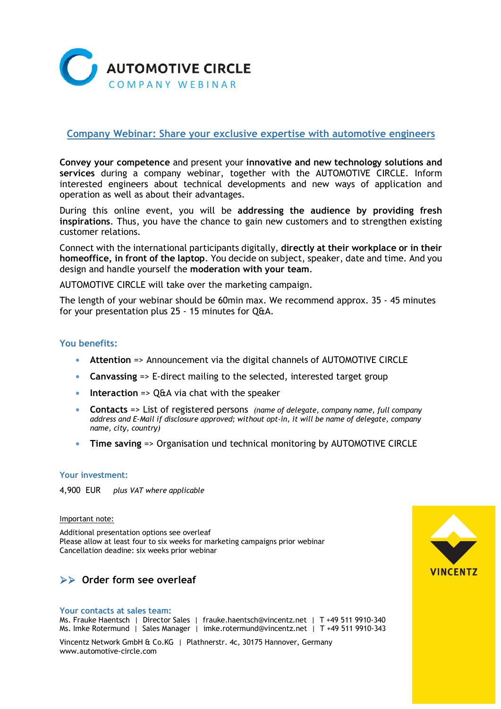

# **Company Webinar: Share your exclusive expertise with automotive engineers**

**Convey your competence** and present your **innovative and new technology solutions and services** during a company webinar, together with the AUTOMOTIVE CIRCLE. Inform interested engineers about technical developments and new ways of application and operation as well as about their advantages.

During this online event, you will be **addressing the audience by providing fresh inspirations**. Thus, you have the chance to gain new customers and to strengthen existing customer relations.

Connect with the international participants digitally, **directly at their workplace or in their homeoffice, in front of the laptop**. You decide on subject, speaker, date and time. And you design and handle yourself the **moderation with your team**.

AUTOMOTIVE CIRCLE will take over the marketing campaign.

The length of your webinar should be 60min max. We recommend approx. 35 - 45 minutes for your presentation plus 25 - 15 minutes for Q&A.

## **You benefits:**

- **• Attention** => Announcement via the digital channels of AUTOMOTIVE CIRCLE
- **• Canvassing** => E-direct mailing to the selected, interested target group
- **• Interaction** => Q&A via chat with the speaker
- **• Contacts** => List of registered persons *(name of delegate, company name, full company address and E-Mail if disclosure approved; without opt-in, it will be name of delegate, company name, city, country)*
- **• Time saving** => Organisation und technical monitoring by AUTOMOTIVE CIRCLE

## **Your investment:**

4,900 EUR *plus VAT where applicable* 

### Important note:

Additional presentation options see overleaf Please allow at least four to six weeks for marketing campaigns prior webinar Cancellation deadine: six weeks prior webinar

# **Order form see overleaf**

### **Your contacts at sales team:**

Ms. Frauke Haentsch | Director Sales | frauke.haentsch@vincentz.net | T +49 511 9910-340 Ms. Imke Rotermund | Sales Manager | imke.rotermund@vincentz.net | T +49 511 9910-343

Vincentz Network GmbH & Co.KG | Plathnerstr. 4c, 30175 Hannover, Germany www.automotive-circle.com